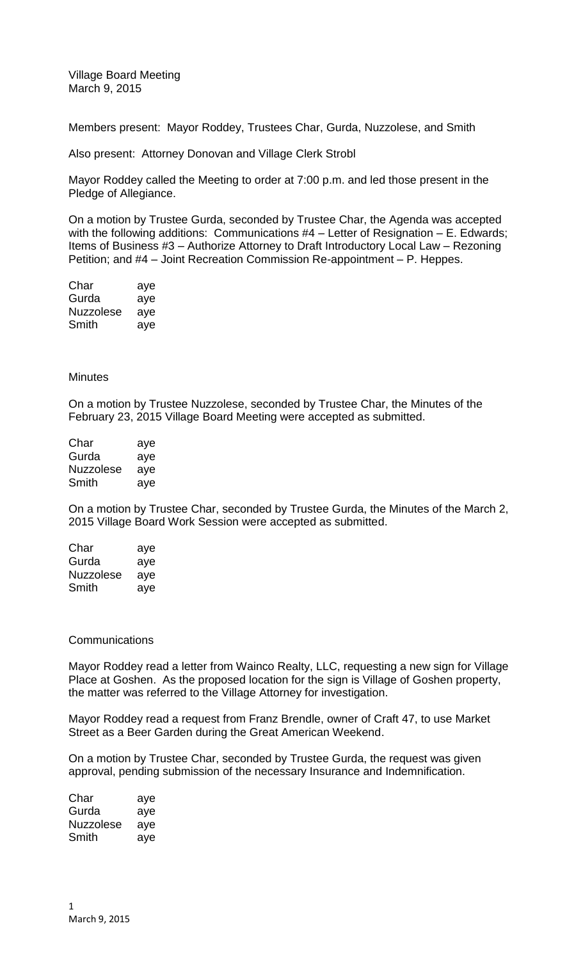Village Board Meeting March 9, 2015

Members present: Mayor Roddey, Trustees Char, Gurda, Nuzzolese, and Smith

Also present: Attorney Donovan and Village Clerk Strobl

Mayor Roddey called the Meeting to order at 7:00 p.m. and led those present in the Pledge of Allegiance.

On a motion by Trustee Gurda, seconded by Trustee Char, the Agenda was accepted with the following additions: Communications #4 – Letter of Resignation – E. Edwards; Items of Business #3 – Authorize Attorney to Draft Introductory Local Law – Rezoning Petition; and #4 – Joint Recreation Commission Re-appointment – P. Heppes.

| Char             | aye |
|------------------|-----|
| Gurda            | aye |
| <b>Nuzzolese</b> | aye |
| Smith            | aye |

## **Minutes**

On a motion by Trustee Nuzzolese, seconded by Trustee Char, the Minutes of the February 23, 2015 Village Board Meeting were accepted as submitted.

| Char      | aye |
|-----------|-----|
| Gurda     | aye |
| Nuzzolese | aye |
| Smith     | aye |

On a motion by Trustee Char, seconded by Trustee Gurda, the Minutes of the March 2, 2015 Village Board Work Session were accepted as submitted.

| Char             | aye |
|------------------|-----|
| Gurda            | aye |
| <b>Nuzzolese</b> | aye |
| Smith            | aye |

## **Communications**

Mayor Roddey read a letter from Wainco Realty, LLC, requesting a new sign for Village Place at Goshen. As the proposed location for the sign is Village of Goshen property, the matter was referred to the Village Attorney for investigation.

Mayor Roddey read a request from Franz Brendle, owner of Craft 47, to use Market Street as a Beer Garden during the Great American Weekend.

On a motion by Trustee Char, seconded by Trustee Gurda, the request was given approval, pending submission of the necessary Insurance and Indemnification.

| Char      | aye |
|-----------|-----|
| Gurda     | aye |
| Nuzzolese | aye |
| Smith     | aye |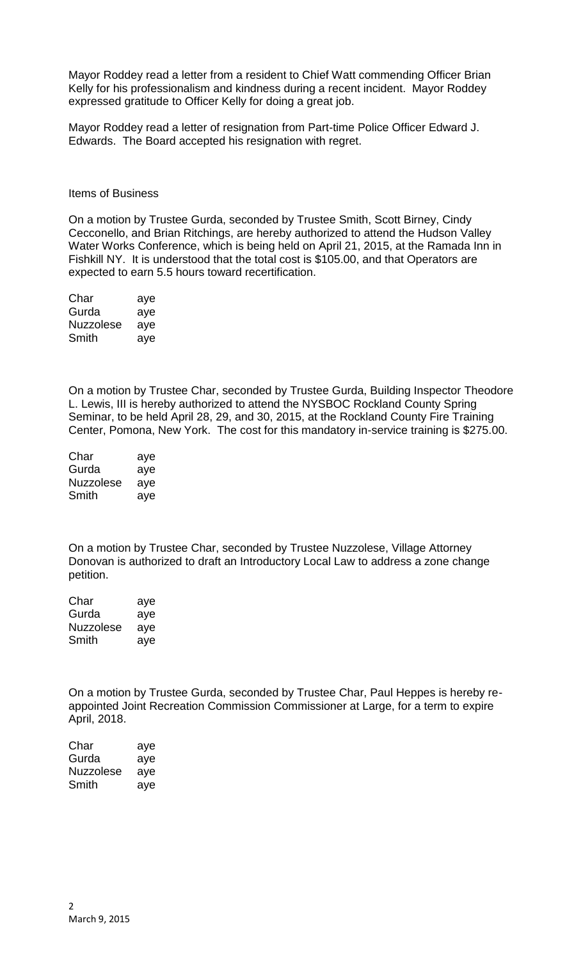Mayor Roddey read a letter from a resident to Chief Watt commending Officer Brian Kelly for his professionalism and kindness during a recent incident. Mayor Roddey expressed gratitude to Officer Kelly for doing a great job.

Mayor Roddey read a letter of resignation from Part-time Police Officer Edward J. Edwards. The Board accepted his resignation with regret.

Items of Business

On a motion by Trustee Gurda, seconded by Trustee Smith, Scott Birney, Cindy Cecconello, and Brian Ritchings, are hereby authorized to attend the Hudson Valley Water Works Conference, which is being held on April 21, 2015, at the Ramada Inn in Fishkill NY. It is understood that the total cost is \$105.00, and that Operators are expected to earn 5.5 hours toward recertification.

| Char             | aye |
|------------------|-----|
| Gurda            | aye |
| <b>Nuzzolese</b> | aye |
| Smith            | aye |

On a motion by Trustee Char, seconded by Trustee Gurda, Building Inspector Theodore L. Lewis, III is hereby authorized to attend the NYSBOC Rockland County Spring Seminar, to be held April 28, 29, and 30, 2015, at the Rockland County Fire Training Center, Pomona, New York. The cost for this mandatory in-service training is \$275.00.

| Char             | aye |
|------------------|-----|
| Gurda            | aye |
| <b>Nuzzolese</b> | aye |
| Smith            | aye |

On a motion by Trustee Char, seconded by Trustee Nuzzolese, Village Attorney Donovan is authorized to draft an Introductory Local Law to address a zone change petition.

| Char             | aye |
|------------------|-----|
| Gurda            | aye |
| <b>Nuzzolese</b> | aye |
| Smith            | aye |

On a motion by Trustee Gurda, seconded by Trustee Char, Paul Heppes is hereby reappointed Joint Recreation Commission Commissioner at Large, for a term to expire April, 2018.

| Char      | aye |
|-----------|-----|
| Gurda     | aye |
| Nuzzolese | aye |
| Smith     | aye |